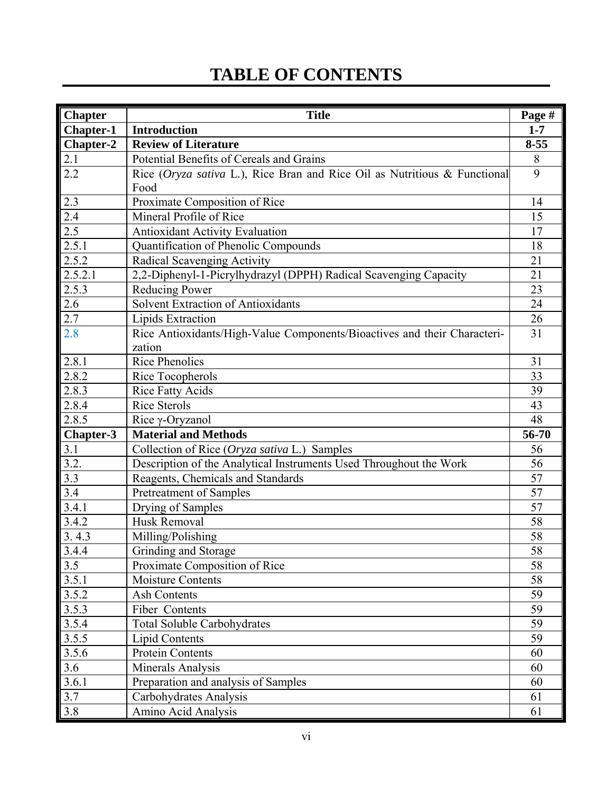## **TABLE OF CONTENTS**

| <b>Chapter</b>   | <b>Title</b>                                                              | Page #   |
|------------------|---------------------------------------------------------------------------|----------|
| <b>Chapter-1</b> | <b>Introduction</b>                                                       | $1 - 7$  |
| Chapter-2        | <b>Review of Literature</b>                                               | $8 - 55$ |
| 2.1              | Potential Benefits of Cereals and Grains                                  | 8        |
| 2.2              | Rice (Oryza sativa L.), Rice Bran and Rice Oil as Nutritious & Functional | 9        |
|                  | Food                                                                      |          |
| 2.3              | Proximate Composition of Rice                                             | 14       |
| 2.4              | Mineral Profile of Rice                                                   | 15       |
| 2.5              | <b>Antioxidant Activity Evaluation</b>                                    | 17       |
| 2.5.1            | Quantification of Phenolic Compounds                                      | 18       |
| 2.5.2            | Radical Scavenging Activity                                               | 21       |
| 2.5.2.1          | 2,2-Diphenyl-1-Picrylhydrazyl (DPPH) Radical Scavenging Capacity          | 21       |
| 2.5.3            | <b>Reducing Power</b>                                                     | 23       |
| 2.6              | Solvent Extraction of Antioxidants                                        | 24       |
| 2.7              | Lipids Extraction                                                         | 26       |
| 2.8              | Rice Antioxidants/High-Value Components/Bioactives and their Characteri-  | 31       |
|                  | zation                                                                    |          |
| 2.8.1            | <b>Rice Phenolics</b>                                                     | 31       |
| 2.8.2            | Rice Tocopherols                                                          | 33       |
| 2.8.3            | <b>Rice Fatty Acids</b>                                                   | 39       |
| 2.8.4            | <b>Rice Sterols</b>                                                       | 43       |
| 2.8.5            | Rice y-Oryzanol                                                           | 48       |
| $Chapters-3$     | <b>Material and Methods</b>                                               | 56-70    |
| 3.1              | Collection of Rice (Oryza sativa L.) Samples                              | 56       |
| 3.2.             | Description of the Analytical Instruments Used Throughout the Work        | 56       |
| 3.3              | Reagents, Chemicals and Standards                                         | 57       |
| 3.4              | Pretreatment of Samples                                                   | 57       |
| 3.4.1            | Drying of Samples                                                         | 57       |
| 3.4.2            | <b>Husk Removal</b>                                                       | 58       |
| 3.4.3            | Milling/Polishing                                                         | 58       |
| 3.4.4            | Grinding and Storage                                                      | 58       |
| 3.5              | Proximate Composition of Rice                                             | 58       |
| 3.5.1            | <b>Moisture Contents</b>                                                  | 58       |
| 3.5.2            | <b>Ash Contents</b>                                                       | 59       |
| 3.5.3            | Fiber Contents                                                            | 59       |
| 3.5.4            | <b>Total Soluble Carbohydrates</b>                                        | 59       |
| 3.5.5            | Lipid Contents                                                            | 59       |
| 3.5.6            | Protein Contents                                                          | 60       |
| 3.6              | Minerals Analysis                                                         | 60       |
| 3.6.1            | Preparation and analysis of Samples                                       | 60       |
| 3.7              | Carbohydrates Analysis                                                    | 61       |
| 3.8              | Amino Acid Analysis                                                       | 61       |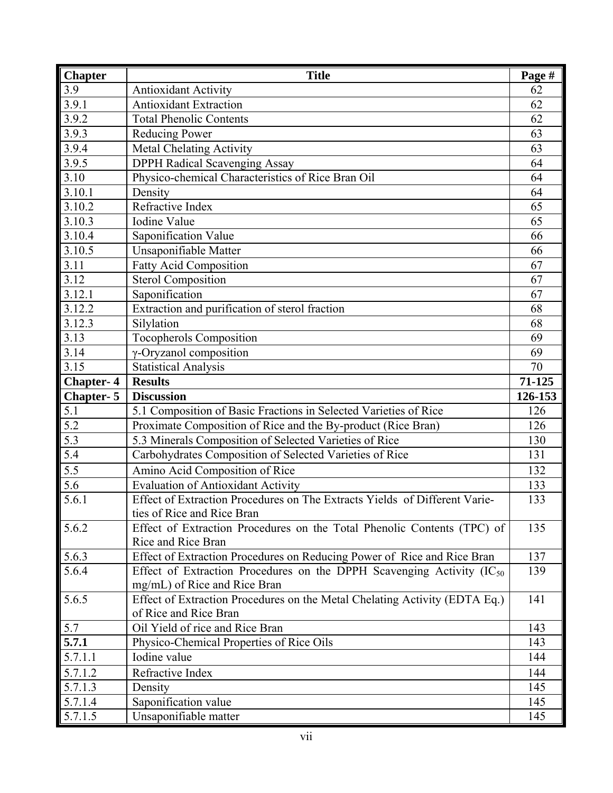| <b>Chapter</b>   | <b>Title</b>                                                                                             | Page #  |
|------------------|----------------------------------------------------------------------------------------------------------|---------|
| 3.9              | <b>Antioxidant Activity</b>                                                                              | 62      |
| 3.9.1            | <b>Antioxidant Extraction</b>                                                                            | 62      |
| 3.9.2            | <b>Total Phenolic Contents</b>                                                                           | 62      |
| 3.9.3            | Reducing Power                                                                                           | 63      |
| 3.9.4            | <b>Metal Chelating Activity</b>                                                                          | 63      |
| 3.9.5            | <b>DPPH Radical Scavenging Assay</b>                                                                     | 64      |
| 3.10             | Physico-chemical Characteristics of Rice Bran Oil                                                        | 64      |
| 3.10.1           | Density                                                                                                  | 64      |
| 3.10.2           | Refractive Index                                                                                         | 65      |
| 3.10.3           | <b>Iodine Value</b>                                                                                      | 65      |
| 3.10.4           | Saponification Value                                                                                     | 66      |
| 3.10.5           | Unsaponifiable Matter                                                                                    | 66      |
| 3.11             | <b>Fatty Acid Composition</b>                                                                            | 67      |
| 3.12             | <b>Sterol Composition</b>                                                                                | 67      |
| 3.12.1           | Saponification                                                                                           | 67      |
| 3.12.2           | Extraction and purification of sterol fraction                                                           | 68      |
| 3.12.3           | Silylation                                                                                               | 68      |
| 3.13             | <b>Tocopherols Composition</b>                                                                           | 69      |
| 3.14             | γ-Oryzanol composition                                                                                   | 69      |
| 3.15             | <b>Statistical Analysis</b>                                                                              | 70      |
| <b>Chapter-4</b> | <b>Results</b>                                                                                           | 71-125  |
| <b>Chapter-5</b> | <b>Discussion</b>                                                                                        | 126-153 |
| 5.1              | 5.1 Composition of Basic Fractions in Selected Varieties of Rice                                         | 126     |
| $\overline{5.2}$ | Proximate Composition of Rice and the By-product (Rice Bran)                                             | 126     |
| 5.3              | 5.3 Minerals Composition of Selected Varieties of Rice                                                   | 130     |
| 5.4              | Carbohydrates Composition of Selected Varieties of Rice                                                  | 131     |
| 5.5              | Amino Acid Composition of Rice                                                                           | 132     |
| 5.6              | <b>Evaluation of Antioxidant Activity</b>                                                                | 133     |
| 5.6.1            | Effect of Extraction Procedures on The Extracts Yields of Different Varie-<br>ties of Rice and Rice Bran | 133     |
| 5.6.2            | Effect of Extraction Procedures on the Total Phenolic Contents (TPC) of<br>Rice and Rice Bran            | 135     |
| 5.6.3            | Effect of Extraction Procedures on Reducing Power of Rice and Rice Bran                                  | 137     |
| 5.6.4            | Effect of Extraction Procedures on the DPPH Scavenging Activity ( $IC_{50}$                              | 139     |
|                  | mg/mL) of Rice and Rice Bran                                                                             |         |
| 5.6.5            | Effect of Extraction Procedures on the Metal Chelating Activity (EDTA Eq.)                               | 141     |
|                  | of Rice and Rice Bran                                                                                    |         |
| 5.7              | Oil Yield of rice and Rice Bran                                                                          | 143     |
| 5.7.1            | Physico-Chemical Properties of Rice Oils                                                                 | 143     |
| 5.7.1.1          | Iodine value                                                                                             | 144     |
| 5.7.1.2          | Refractive Index                                                                                         | 144     |
| 5.7.1.3          | Density                                                                                                  | 145     |
| 5.7.1.4          | Saponification value                                                                                     | 145     |
| 5.7.1.5          | Unsaponifiable matter                                                                                    | 145     |